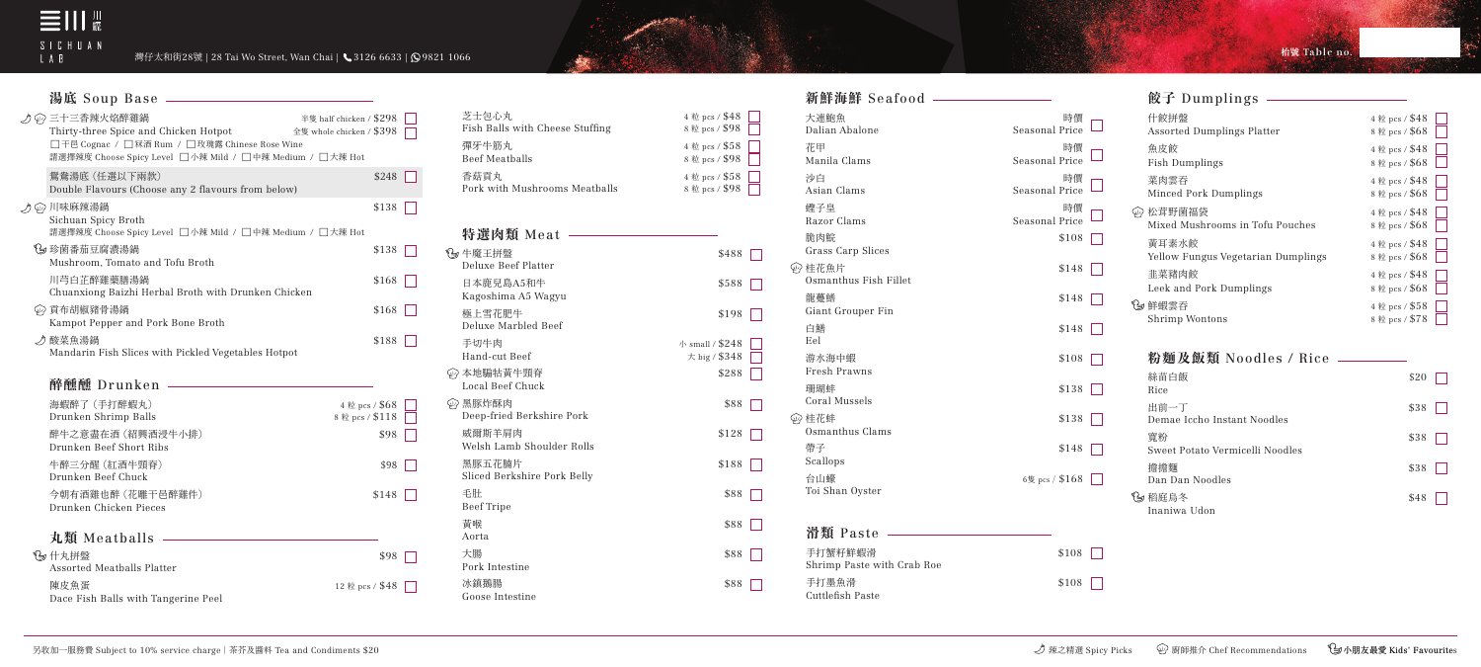

灣仔太和街28號 | 28 Tai Wo Street, Wan Chai | ↓ 3126 6633 | 99821 1066

**枱號 Table no.** 

Rice ma Sweet Dan D

3 稻庭鳥 Inaniv

## **粉麵及飯類** Noodles / Rice

Manila Clams Seasona 沙白 しょうしょう しゅうしょう おおとこ おおし 時償 かいこうしょう Asian Clams Seasona むかん えいきょう きょうかん きょうかん きょうきょう きょうせいせい 蛙子皇 しゅうしょく きょうしょく きょうしょく はんしゃ はんしゃ はんしゃ はんしゃ Razor Clams Seasona **脆肉鯇 \$108** Grass Carp Slices ◎ 桂花魚片 Osmanthus Fish Fillet

| 絲苗白飯<br>Rice                          | \$20 |  |
|---------------------------------------|------|--|
| 出前一丁<br>Demae Iccho Instant Noodles   | \$38 |  |
| 寬粉<br>Sweet Potato Vermicelli Noodles | \$38 |  |
| 擔擔麵<br>Dan Dan Noodles                | \$38 |  |
| 稻庭鳥冬<br>Inaniwa Udon                  | \$48 |  |

龍躉鰭  $$148$ Giant Grouper Fin 白鱔  $$148$ Eel 游水海中蝦 Fresh Prawns 珊瑚蚌 Coral Mussels

43 桂花蚌 Osmanthus Clams 帶子 \$148 Scallops

台山蠔  $6 \frac{1}{5}$  pcs / \$168 Toi Shan Oyster

| 滑類 Paste                              |       |
|---------------------------------------|-------|
| 手打蟹籽鮮蝦滑<br>Shrimp Paste with Crab Roe | \$108 |
| 手打墨魚滑<br>Cuttlefish Paste             | \$108 |

**新鮮海鮮** Seafood

| 大連鮑魚<br>Dalian Abalone        | 時價<br>Seasonal Price |   | 什飠<br>Ass |
|-------------------------------|----------------------|---|-----------|
| 花甲<br>Manila Clams            | 時價<br>Seasonal Price |   | 魚<br>Fis  |
| 沙白<br>Asian Clams             | 時價<br>Seasonal Price |   | 菜<br>Mii  |
| 蟶子皇<br>Razor Clams            | 時價<br>Seasonal Price | ₩ | 松<br>Miz  |
| 脆肉鯇<br>Grass Carp Slices      | \$108                |   | 黃I<br>Yel |
| 桂花魚片<br>Osmanthus Fish Fillet | \$148                |   | 韭         |
| 龍躉鰭<br>Giant Grouper Fin      | \$148                | 当 | Lee<br>鮮  |
| 白鱔<br>Eel                     | \$148                |   | Shi       |
| 游水海中蝦<br>Fresh Prawns         | \$108                |   | 粉         |
| 珊瑚蚌<br>Coral Mussels          | \$138                |   | 絲青<br>Ric |
| 桂花蚌<br>Osmanthus Clams        | \$138                |   | 出自<br>Dei |
|                               |                      |   | 寬米        |

 $\Box$ 

 $\Box$ 

| 什餃拼盤                               | 4 粒 pcs / \$48 |
|------------------------------------|----------------|
| Assorted Dumplings Platter         | 8粒 pcs / \$68  |
| 魚皮餃                                | 4 粒 pcs / \$48 |
| Fish Dumplings                     | 8粒 pcs / \$68  |
| 菜肉雲吞                               | 4 粒 pcs / \$48 |
| Minced Pork Dumplings              | 8 粒 pcs / \$68 |
| 松茸野菌福袋                             | 4 粒 pcs / \$48 |
| Mixed Mushrooms in Tofu Pouches    | 8粒 pcs / \$68  |
| 黃耳素水餃                              | 4 粒 pcs / \$48 |
| Yellow Fungus Vegetarian Dumplings | 8 粒 pcs / \$68 |
| 韭菜豬肉餃                              | 4 粒 pcs / \$48 |
| Leek and Pork Dumplings            | 8 粒 pcs / \$68 |
| 鮮蝦雲吞                               | 4 粒 pcs / \$58 |
| Shrimp Wontons                     | 8粒 pcs / \$78  |

| ♪ ঞ 三十三香辣火焰醉雞鍋<br>Thirty-three Spice and Chicken Hotpot<br>□干邑 Cognac / □ 冧酒 Rum / □ 玫瑰露 Chinese Rose Wine<br>請選擇辣度 Choose Spicy Level □小辣 Mild / □中辣 Medium / □大辣 Hot | 半隻 half chicken / \$298<br>全隻 whole chicken / \$398 |
|------------------------------------------------------------------------------------------------------------------------------------------------------------------------|-----------------------------------------------------|
| 鴛鴦湯底 (任選以下兩款)<br>Double Flavours (Choose any 2 flavours from below)                                                                                                    | \$248                                               |
| ♪ ঞ 川味麻辣湯鍋<br>Sichuan Spicy Broth<br>請選擇辣度 Choose Spicy Level □小辣 Mild / □中辣 Medium / □大辣 Hot                                                                          | \$138                                               |
| 《乡 珍菌番茄豆腐濃湯鍋<br>Mushroom, Tomato and Tofu Broth                                                                                                                        | \$138                                               |
| 川芎白芷醉雞藥膳湯鍋<br>Chuanxiong Baizhi Herbal Broth with Drunken Chicken                                                                                                      | \$168                                               |
| ⑷ 貢布胡椒豬骨湯鍋<br>Kampot Pepper and Pork Bone Broth                                                                                                                        | \$168                                               |
| ♪ 酸菜魚湯鍋<br>Mandarin Fish Slices with Pickled Vegetables Hotpot                                                                                                         | \$188                                               |
| 醉醺醺 Drunken                                                                                                                                                            |                                                     |
| 海蝦醉了 (手打醉蝦丸)<br>Drunken Shrimp Balls<br>醉牛之意盡在酒 (紹興酒浸牛小排)                                                                                                              | 4 粒 pcs / \$68<br>8粒 pcs / \$118<br>\$98            |
| Drunken Beef Short Ribs<br>牛醉三分醒 (紅酒牛頸脊)<br>Drunken Beef Chuck                                                                                                         | \$98                                                |
| 今朝有酒雞也醉 (花雕干邑醉雞件)<br>Drunken Chicken Pieces                                                                                                                            | \$148                                               |
| 丸類 Meatballs                                                                                                                                                           |                                                     |
| ℃ 什丸拼盤<br>Assorted Meatballs Platter                                                                                                                                   | \$98                                                |
| 陳皮魚蛋<br>Dace Fish Balls with Tangerine Peel                                                                                                                            | 12 粒 pcs / \$48                                     |

| 特選肉類 Meat                             |                                   |
|---------------------------------------|-----------------------------------|
| ∜ᢖ 牛魔王拼盤<br>Deluxe Beef Platter       | \$488                             |
| 日本鹿兒島A5和牛<br>Kagoshima A5 Wagyu       | \$588                             |
| 極上雪花肥牛<br>Deluxe Marbled Beef         | \$198                             |
| 手切牛肉<br>Hand-cut Beef                 | 小 small / $$248$<br>大 big / \$348 |
| ⑷ 本地騸牯黃牛頸脊<br>Local Beef Chuck        | \$288                             |
| ⑷ 黑豚炸酥肉<br>Deep-fried Berkshire Pork  | \$88                              |
| 威爾斯羊肩肉<br>Welsh Lamb Shoulder Rolls   | \$128                             |
| 黑豚五花腩片<br>Sliced Berkshire Pork Belly | \$188                             |
| 毛肚<br><b>Beef Tripe</b>               | \$88                              |
| 黃喉<br>Aorta                           | \$88                              |
| 大腸<br>Pork Intestine                  | \$88                              |
| 冰鎮鵝腸<br>Goose Intestine               | \$88                              |

| 並 pcs / \$48 |  |
|--------------|--|
| 並 pcs / \$98 |  |
| 並 pcs / \$58 |  |
| 並 pcs / \$98 |  |
| 並 pcs / \$58 |  |
| 並 pcs / \$98 |  |

 $$488$   $\Box$ 

 $$588$ 

 $$198$ 

 $$128$ 

 $$188$ 

小 small /  $$248$  $\star$  big / \$348

## **餃子** Dumplings

## **湯底** Soup Base

| 芝士包心丸                           | 4 粒 pcs / \$48 |
|---------------------------------|----------------|
| Fish Balls with Cheese Stuffing | 8粒 pcs / \$98  |
| 彈牙牛筋丸                           | 4 粒 pcs / \$58 |
| Beef Meatballs                  | 8粒 pcs / \$98  |
| 香菇貢丸                            | 4 粒 pcs / \$58 |
| Pork with Mushrooms Meatballs   | 8 粒 pcs / \$98 |